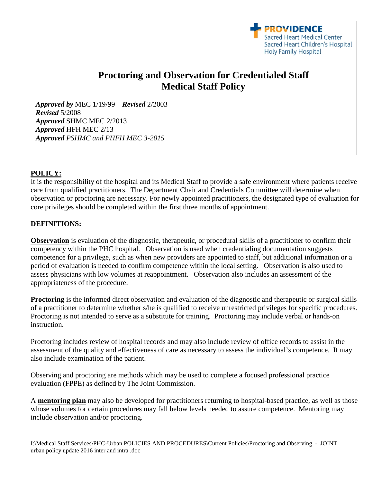

# **Proctoring and Observation for Credentialed Staff Medical Staff Policy**

*Approved by* MEC 1/19/99 *Revised* 2/2003 *Revised* 5/2008 *Approved* SHMC MEC 2/2013 *Approved* HFH MEC 2/13 *Approved PSHMC and PHFH MEC 3-2015*

#### **POLICY:**

It is the responsibility of the hospital and its Medical Staff to provide a safe environment where patients receive care from qualified practitioners. The Department Chair and Credentials Committee will determine when observation or proctoring are necessary. For newly appointed practitioners, the designated type of evaluation for core privileges should be completed within the first three months of appointment.

#### **DEFINITIONS:**

**Observation** is evaluation of the diagnostic, therapeutic, or procedural skills of a practitioner to confirm their competency within the PHC hospital. Observation is used when credentialing documentation suggests competence for a privilege, such as when new providers are appointed to staff, but additional information or a period of evaluation is needed to confirm competence within the local setting. Observation is also used to assess physicians with low volumes at reappointment. Observation also includes an assessment of the appropriateness of the procedure.

**Proctoring** is the informed direct observation and evaluation of the diagnostic and therapeutic or surgical skills of a practitioner to determine whether s/he is qualified to receive unrestricted privileges for specific procedures. Proctoring is not intended to serve as a substitute for training. Proctoring may include verbal or hands-on instruction.

Proctoring includes review of hospital records and may also include review of office records to assist in the assessment of the quality and effectiveness of care as necessary to assess the individual's competence. It may also include examination of the patient.

Observing and proctoring are methods which may be used to complete a focused professional practice evaluation (FPPE) as defined by The Joint Commission.

A **mentoring plan** may also be developed for practitioners returning to hospital-based practice, as well as those whose volumes for certain procedures may fall below levels needed to assure competence. Mentoring may include observation and/or proctoring.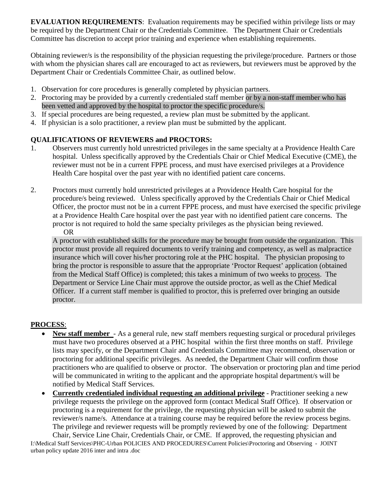**EVALUATION REQUIREMENTS**: Evaluation requirements may be specified within privilege lists or may be required by the Department Chair or the Credentials Committee. The Department Chair or Credentials Committee has discretion to accept prior training and experience when establishing requirements.

Obtaining reviewer/s is the responsibility of the physician requesting the privilege/procedure. Partners or those with whom the physician shares call are encouraged to act as reviewers, but reviewers must be approved by the Department Chair or Credentials Committee Chair, as outlined below.

- 1. Observation for core procedures is generally completed by physician partners.
- 2. Proctoring may be provided by a currently credentialed staff member or by a non-staff member who has been vetted and approved by the hospital to proctor the specific procedure/s.
- 3. If special procedures are being requested, a review plan must be submitted by the applicant.
- 4. If physician is a solo practitioner, a review plan must be submitted by the applicant.

## **QUALIFICATIONS OF REVIEWERS and PROCTORS:**

- 1. Observers must currently hold unrestricted privileges in the same specialty at a Providence Health Care hospital. Unless specifically approved by the Credentials Chair or Chief Medical Executive (CME), the reviewer must not be in a current FPPE process, and must have exercised privileges at a Providence Health Care hospital over the past year with no identified patient care concerns.
- 2. Proctors must currently hold unrestricted privileges at a Providence Health Care hospital for the procedure/s being reviewed. Unless specifically approved by the Credentials Chair or Chief Medical Officer, the proctor must not be in a current FPPE process, and must have exercised the specific privilege at a Providence Health Care hospital over the past year with no identified patient care concerns. The proctor is not required to hold the same specialty privileges as the physician being reviewed. OR

A proctor with established skills for the procedure may be brought from outside the organization. This proctor must provide all required documents to verify training and competency, as well as malpractice insurance which will cover his/her proctoring role at the PHC hospital. The physician proposing to bring the proctor is responsible to assure that the appropriate 'Proctor Request' application (obtained from the Medical Staff Office) is completed; this takes a minimum of two weeks to process. The Department or Service Line Chair must approve the outside proctor, as well as the Chief Medical Officer. If a current staff member is qualified to proctor, this is preferred over bringing an outside proctor.

## **PROCESS**:

- **New staff member** As a general rule, new staff members requesting surgical or procedural privileges must have two procedures observed at a PHC hospital within the first three months on staff. Privilege lists may specify, or the Department Chair and Credentials Committee may recommend, observation or proctoring for additional specific privileges. As needed, the Department Chair will confirm those practitioners who are qualified to observe or proctor. The observation or proctoring plan and time period will be communicated in writing to the applicant and the appropriate hospital department/s will be notified by Medical Staff Services.
- **Currently credentialed individual requesting an additional privilege** Practitioner seeking a new privilege requests the privilege on the approved form (contact Medical Staff Office). If observation or proctoring is a requirement for the privilege, the requesting physician will be asked to submit the reviewer/s name/s. Attendance at a training course may be required before the review process begins. The privilege and reviewer requests will be promptly reviewed by one of the following: Department

I:\Medical Staff Services\PHC-Urban POLICIES AND PROCEDURES\Current Policies\Proctoring and Observing - JOINT urban policy update 2016 inter and intra .doc Chair, Service Line Chair, Credentials Chair, or CME. If approved, the requesting physician and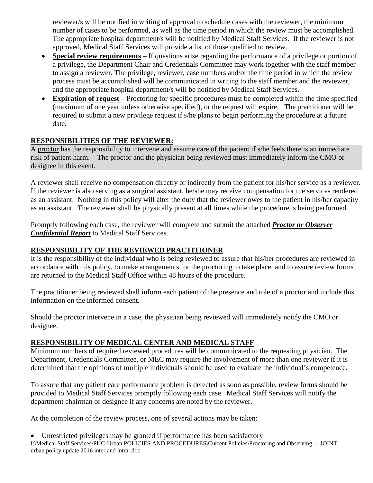reviewer/s will be notified in writing of approval to schedule cases with the reviewer, the minimum number of cases to be performed, as well as the time period in which the review must be accomplished. The appropriate hospital department/s will be notified by Medical Staff Services. If the reviewer is not approved, Medical Staff Services will provide a list of those qualified to review.

- **Special review requirements** If questions arise regarding the performance of a privilege or portion of a privilege, the Department Chair and Credentials Committee may work together with the staff member to assign a reviewer. The privilege, reviewer, case numbers and/or the time period in which the review process must be accomplished will be communicated in writing to the staff member and the reviewer, and the appropriate hospital department/s will be notified by Medical Staff Services.
- **Expiration of request** Proctoring for specific procedures must be completed within the time specified (maximum of one year unless otherwise specified), or the request will expire. The practitioner will be required to submit a new privilege request if s/he plans to begin performing the procedure at a future date.

## **RESPONSIBILITIES OF THE REVIEWER:**

A proctor has the responsibility to intervene and assume care of the patient if s/he feels there is an immediate risk of patient harm. The proctor and the physician being reviewed must immediately inform the CMO or designee in this event.

A reviewer shall receive no compensation directly or indirectly from the patient for his/her service as a reviewer. If the reviewer is also serving as a surgical assistant, he/she may receive compensation for the services rendered as an assistant. Nothing in this policy will alter the duty that the reviewer owes to the patient in his/her capacity as an assistant. The reviewer shall be physically present at all times while the procedure is being performed.

Promptly following each case, the reviewer will complete and submit the attached *Proctor or Observer Confidential Report* to Medical Staff Services.

### **RESPONSIBILITY OF THE REVIEWED PRACTITIONER**

It is the responsibility of the individual who is being reviewed to assure that his/her procedures are reviewed in accordance with this policy, to make arrangements for the proctoring to take place, and to assure review forms are returned to the Medical Staff Office within 48 hours of the procedure.

The practitioner being reviewed shall inform each patient of the presence and role of a proctor and include this information on the informed consent.

Should the proctor intervene in a case, the physician being reviewed will immediately notify the CMO or designee.

## **RESPONSIBILITY OF MEDICAL CENTER AND MEDICAL STAFF**

Minimum numbers of required reviewed procedures will be communicated to the requesting physician. The Department, Credentials Committee, or MEC may require the involvement of more than one reviewer if it is determined that the opinions of multiple individuals should be used to evaluate the individual's competence.

To assure that any patient care performance problem is detected as soon as possible, review forms should be provided to Medical Staff Services promptly following each case. Medical Staff Services will notify the department chairman or designee if any concerns are noted by the reviewer.

At the completion of the review process, one of several actions may be taken:

I:\Medical Staff Services\PHC-Urban POLICIES AND PROCEDURES\Current Policies\Proctoring and Observing - JOINT urban policy update 2016 inter and intra .doc Unrestricted privileges may be granted if performance has been satisfactory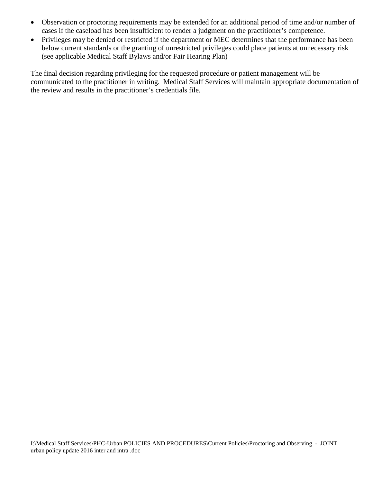- Observation or proctoring requirements may be extended for an additional period of time and/or number of cases if the caseload has been insufficient to render a judgment on the practitioner's competence.
- Privileges may be denied or restricted if the department or MEC determines that the performance has been below current standards or the granting of unrestricted privileges could place patients at unnecessary risk (see applicable Medical Staff Bylaws and/or Fair Hearing Plan)

The final decision regarding privileging for the requested procedure or patient management will be communicated to the practitioner in writing. Medical Staff Services will maintain appropriate documentation of the review and results in the practitioner's credentials file.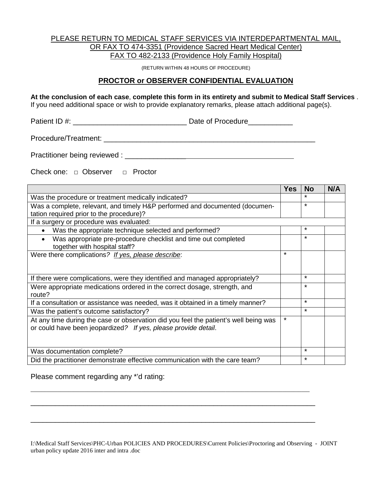#### PLEASE RETURN TO MEDICAL STAFF SERVICES VIA INTERDEPARTMENTAL MAIL, OR FAX TO 474-3351 (Providence Sacred Heart Medical Center) FAX TO 482-2133 (Providence Holy Family Hospital)

(RETURN WITHIN 48 HOURS OF PROCEDURE)

#### **PROCTOR or OBSERVER CONFIDENTIAL EVALUATION**

**At the conclusion of each case**, **complete this form in its entirety and submit to Medical Staff Services** .

If you need additional space or wish to provide explanatory remarks, please attach additional page(s).

Patient ID #:  $\Box$  Date of Procedure

Procedure/Treatment: \_\_\_\_\_\_\_\_\_\_\_\_\_\_\_\_\_\_\_\_\_\_\_\_\_\_\_\_\_\_\_\_\_\_\_\_\_\_\_\_\_\_\_\_\_\_\_\_\_\_\_\_

Practitioner being reviewed : \_\_\_\_\_\_\_\_\_\_\_\_\_\_\_

Check one: □ Observer □ Proctor

|                                                                                                                                                        | Yes     | <b>No</b> | N/A |
|--------------------------------------------------------------------------------------------------------------------------------------------------------|---------|-----------|-----|
| Was the procedure or treatment medically indicated?                                                                                                    |         |           |     |
| Was a complete, relevant, and timely H&P performed and documented (documen-                                                                            |         | $\star$   |     |
| tation required prior to the procedure)?                                                                                                               |         |           |     |
| If a surgery or procedure was evaluated:                                                                                                               |         |           |     |
| Was the appropriate technique selected and performed?                                                                                                  |         | $\star$   |     |
| Was appropriate pre-procedure checklist and time out completed<br>together with hospital staff?                                                        |         | $\star$   |     |
| Were there complications? If yes, please describe:                                                                                                     | $\star$ |           |     |
| If there were complications, were they identified and managed appropriately?                                                                           |         | $\star$   |     |
| Were appropriate medications ordered in the correct dosage, strength, and<br>route?                                                                    |         | $\star$   |     |
| If a consultation or assistance was needed, was it obtained in a timely manner?                                                                        |         | $\star$   |     |
| Was the patient's outcome satisfactory?                                                                                                                |         | $\star$   |     |
| At any time during the case or observation did you feel the patient's well being was<br>or could have been jeopardized? If yes, please provide detail. | $\star$ |           |     |
| Was documentation complete?                                                                                                                            |         | $\star$   |     |
| Did the practitioner demonstrate effective communication with the care team?                                                                           |         | $\star$   |     |

Please comment regarding any \*'d rating:

I:\Medical Staff Services\PHC-Urban POLICIES AND PROCEDURES\Current Policies\Proctoring and Observing - JOINT urban policy update 2016 inter and intra .doc

\_\_\_\_\_\_\_\_\_\_\_\_\_\_\_\_\_\_\_\_\_\_\_\_\_\_\_\_\_\_\_\_\_\_\_\_\_\_\_\_\_\_\_\_\_\_\_\_\_\_\_\_\_\_\_\_\_\_\_\_\_\_\_\_\_\_\_\_\_\_\_\_\_\_\_\_\_\_\_\_\_\_\_\_\_\_\_\_\_\_\_\_\_\_\_\_\_\_\_\_\_\_\_

\_\_\_\_\_\_\_\_\_\_\_\_\_\_\_\_\_\_\_\_\_\_\_\_\_\_\_\_\_\_\_\_\_\_\_\_\_\_\_\_\_\_\_\_\_\_\_\_\_\_\_\_\_\_\_\_\_\_\_\_\_\_\_\_\_\_\_\_\_\_

\_\_\_\_\_\_\_\_\_\_\_\_\_\_\_\_\_\_\_\_\_\_\_\_\_\_\_\_\_\_\_\_\_\_\_\_\_\_\_\_\_\_\_\_\_\_\_\_\_\_\_\_\_\_\_\_\_\_\_\_\_\_\_\_\_\_\_\_\_\_